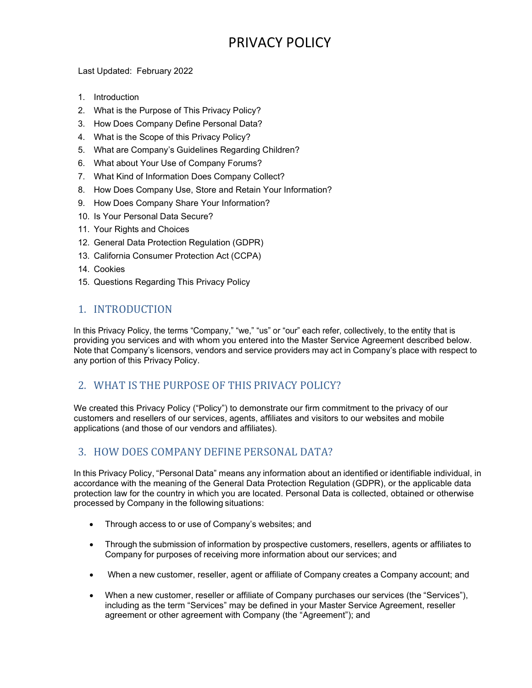# PRIVACY POLICY

Last Updated: February 2022

- 1. Introduction
- 2. What is the Purpose of This Privacy Policy?
- 3. How Does Company Define Personal Data?
- 4. What is the Scope of this Privacy Policy?
- 5. What are Company's Guidelines Regarding Children?
- 6. What about Your Use of Company Forums?
- 7. What Kind of Information Does Company Collect?
- 8. How Does Company Use, Store and Retain Your Information?
- 9. How Does Company Share Your Information?
- 10. Is Your Personal Data Secure?
- 11. Your Rights and Choices
- 12. General Data Protection Regulation (GDPR)
- 13. California Consumer Protection Act (CCPA)
- 14. Cookies
- 15. Questions Regarding This Privacy Policy

# 1. INTRODUCTION

In this Privacy Policy, the terms "Company," "we," "us" or "our" each refer, collectively, to the entity that is providing you services and with whom you entered into the Master Service Agreement described below. Note that Company's licensors, vendors and service providers may act in Company's place with respect to any portion of this Privacy Policy.

# 2. WHAT IS THE PURPOSE OF THIS PRIVACY POLICY?

We created this Privacy Policy ("Policy") to demonstrate our firm commitment to the privacy of our customers and resellers of our services, agents, affiliates and visitors to our websites and mobile applications (and those of our vendors and affiliates).

# 3. HOW DOES COMPANY DEFINE PERSONAL DATA?

In this Privacy Policy, "Personal Data" means any information about an identified or identifiable individual, in accordance with the meaning of the General Data Protection Regulation (GDPR), or the applicable data protection law for the country in which you are located. Personal Data is collected, obtained or otherwise processed by Company in the following situations:

- Through access to or use of Company's websites; and
- Through the submission of information by prospective customers, resellers, agents or affiliates to Company for purposes of receiving more information about our services; and
- When a new customer, reseller, agent or affiliate of Company creates a Company account; and
- When a new customer, reseller or affiliate of Company purchases our services (the "Services"), including as the term "Services" may be defined in your Master Service Agreement, reseller agreement or other agreement with Company (the "Agreement"); and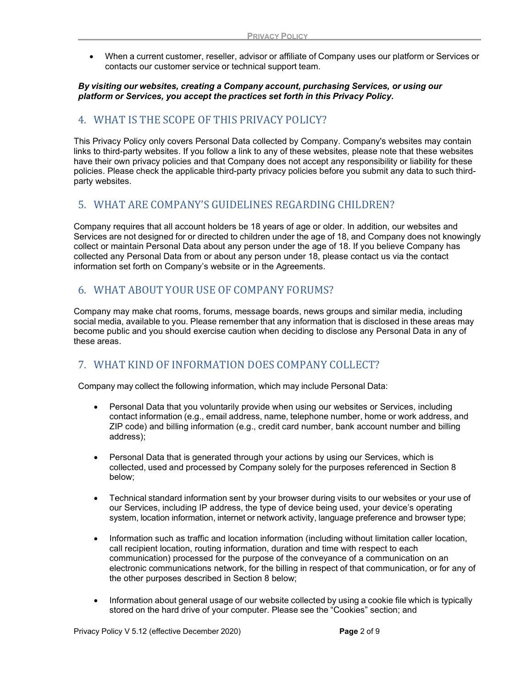When a current customer, reseller, advisor or affiliate of Company uses our platform or Services or contacts our customer service or technical support team.

#### By visiting our websites, creating a Company account, purchasing Services, or using our platform or Services, you accept the practices set forth in this Privacy Policy.

# 4. WHAT IS THE SCOPE OF THIS PRIVACY POLICY?

This Privacy Policy only covers Personal Data collected by Company. Company's websites may contain links to third-party websites. If you follow a link to any of these websites, please note that these websites have their own privacy policies and that Company does not accept any responsibility or liability for these policies. Please check the applicable third-party privacy policies before you submit any data to such thirdparty websites.

# 5. WHAT ARE COMPANY'S GUIDELINES REGARDING CHILDREN?

Company requires that all account holders be 18 years of age or older. In addition, our websites and Services are not designed for or directed to children under the age of 18, and Company does not knowingly collect or maintain Personal Data about any person under the age of 18. If you believe Company has collected any Personal Data from or about any person under 18, please contact us via the contact information set forth on Company's website or in the Agreements.

# 6. WHAT ABOUT YOUR USE OF COMPANY FORUMS?

Company may make chat rooms, forums, message boards, news groups and similar media, including social media, available to you. Please remember that any information that is disclosed in these areas may become public and you should exercise caution when deciding to disclose any Personal Data in any of these areas.

# 7. WHAT KIND OF INFORMATION DOES COMPANY COLLECT?

Company may collect the following information, which may include Personal Data:

- Personal Data that you voluntarily provide when using our websites or Services, including contact information (e.g., email address, name, telephone number, home or work address, and ZIP code) and billing information (e.g., credit card number, bank account number and billing address);
- Personal Data that is generated through your actions by using our Services, which is collected, used and processed by Company solely for the purposes referenced in Section 8 below;
- Technical standard information sent by your browser during visits to our websites or your use of our Services, including IP address, the type of device being used, your device's operating system, location information, internet or network activity, language preference and browser type;
- Information such as traffic and location information (including without limitation caller location, call recipient location, routing information, duration and time with respect to each communication) processed for the purpose of the conveyance of a communication on an electronic communications network, for the billing in respect of that communication, or for any of the other purposes described in Section 8 below;
- Information about general usage of our website collected by using a cookie file which is typically stored on the hard drive of your computer. Please see the "Cookies" section; and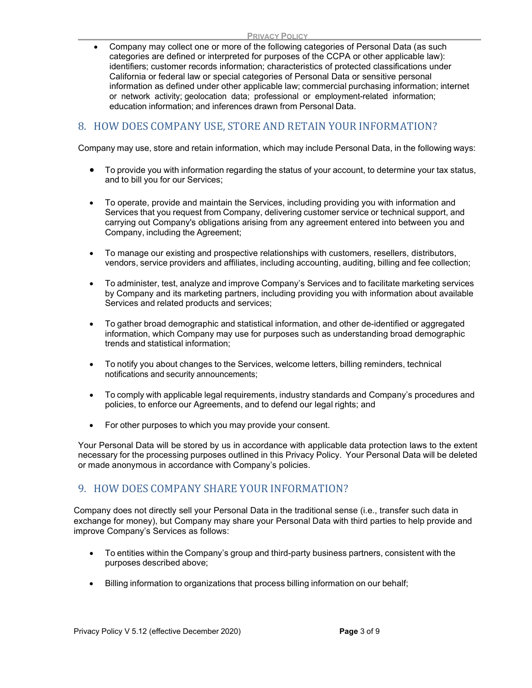Company may collect one or more of the following categories of Personal Data (as such categories are defined or interpreted for purposes of the CCPA or other applicable law): identifiers; customer records information; characteristics of protected classifications under California or federal law or special categories of Personal Data or sensitive personal information as defined under other applicable law; commercial purchasing information; internet or network activity; geolocation data; professional or employment-related information; education information; and inferences drawn from Personal Data.

# 8. HOW DOES COMPANY USE, STORE AND RETAIN YOUR INFORMATION?

Company may use, store and retain information, which may include Personal Data, in the following ways:

- To provide you with information regarding the status of your account, to determine your tax status, and to bill you for our Services;
- To operate, provide and maintain the Services, including providing you with information and Services that you request from Company, delivering customer service or technical support, and carrying out Company's obligations arising from any agreement entered into between you and Company, including the Agreement;
- To manage our existing and prospective relationships with customers, resellers, distributors, vendors, service providers and affiliates, including accounting, auditing, billing and fee collection;
- To administer, test, analyze and improve Company's Services and to facilitate marketing services by Company and its marketing partners, including providing you with information about available Services and related products and services;
- To gather broad demographic and statistical information, and other de-identified or aggregated information, which Company may use for purposes such as understanding broad demographic trends and statistical information;
- To notify you about changes to the Services, welcome letters, billing reminders, technical notifications and security announcements;
- To comply with applicable legal requirements, industry standards and Company's procedures and policies, to enforce our Agreements, and to defend our legal rights; and
- For other purposes to which you may provide your consent.

Your Personal Data will be stored by us in accordance with applicable data protection laws to the extent necessary for the processing purposes outlined in this Privacy Policy. Your Personal Data will be deleted or made anonymous in accordance with Company's policies.

# 9. HOW DOES COMPANY SHARE YOUR INFORMATION?

Company does not directly sell your Personal Data in the traditional sense (i.e., transfer such data in exchange for money), but Company may share your Personal Data with third parties to help provide and improve Company's Services as follows:

- To entities within the Company's group and third-party business partners, consistent with the purposes described above;
- Billing information to organizations that process billing information on our behalf;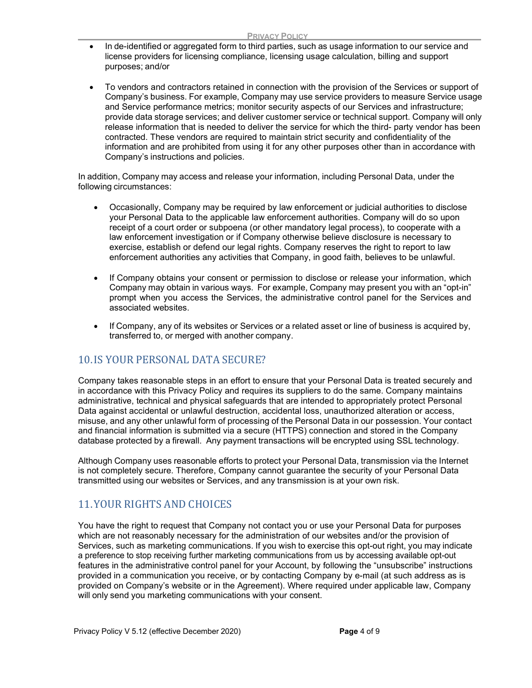- In de-identified or aggregated form to third parties, such as usage information to our service and license providers for licensing compliance, licensing usage calculation, billing and support purposes; and/or
- To vendors and contractors retained in connection with the provision of the Services or support of Company's business. For example, Company may use service providers to measure Service usage and Service performance metrics; monitor security aspects of our Services and infrastructure; provide data storage services; and deliver customer service or technical support. Company will only release information that is needed to deliver the service for which the third- party vendor has been contracted. These vendors are required to maintain strict security and confidentiality of the information and are prohibited from using it for any other purposes other than in accordance with Company's instructions and policies.

In addition, Company may access and release your information, including Personal Data, under the following circumstances:

- Occasionally, Company may be required by law enforcement or judicial authorities to disclose your Personal Data to the applicable law enforcement authorities. Company will do so upon receipt of a court order or subpoena (or other mandatory legal process), to cooperate with a law enforcement investigation or if Company otherwise believe disclosure is necessary to exercise, establish or defend our legal rights. Company reserves the right to report to law enforcement authorities any activities that Company, in good faith, believes to be unlawful.
- If Company obtains your consent or permission to disclose or release your information, which Company may obtain in various ways. For example, Company may present you with an "opt-in" prompt when you access the Services, the administrative control panel for the Services and associated websites.
- If Company, any of its websites or Services or a related asset or line of business is acquired by, transferred to, or merged with another company.

# 10.IS YOUR PERSONAL DATA SECURE?

Company takes reasonable steps in an effort to ensure that your Personal Data is treated securely and in accordance with this Privacy Policy and requires its suppliers to do the same. Company maintains administrative, technical and physical safeguards that are intended to appropriately protect Personal Data against accidental or unlawful destruction, accidental loss, unauthorized alteration or access, misuse, and any other unlawful form of processing of the Personal Data in our possession. Your contact and financial information is submitted via a secure (HTTPS) connection and stored in the Company database protected by a firewall. Any payment transactions will be encrypted using SSL technology.

Although Company uses reasonable efforts to protect your Personal Data, transmission via the Internet is not completely secure. Therefore, Company cannot guarantee the security of your Personal Data transmitted using our websites or Services, and any transmission is at your own risk.

# 11.YOUR RIGHTS AND CHOICES

You have the right to request that Company not contact you or use your Personal Data for purposes which are not reasonably necessary for the administration of our websites and/or the provision of Services, such as marketing communications. If you wish to exercise this opt-out right, you may indicate a preference to stop receiving further marketing communications from us by accessing available opt-out features in the administrative control panel for your Account, by following the "unsubscribe" instructions provided in a communication you receive, or by contacting Company by e-mail (at such address as is provided on Company's website or in the Agreement). Where required under applicable law, Company will only send you marketing communications with your consent.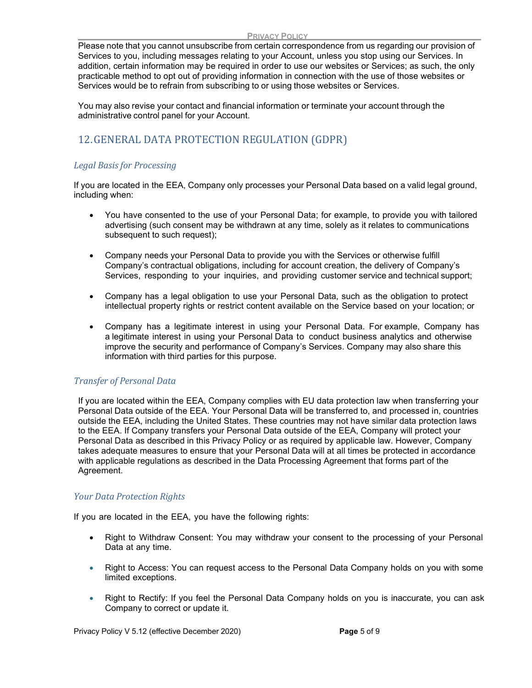Please note that you cannot unsubscribe from certain correspondence from us regarding our provision of Services to you, including messages relating to your Account, unless you stop using our Services. In addition, certain information may be required in order to use our websites or Services; as such, the only practicable method to opt out of providing information in connection with the use of those websites or Services would be to refrain from subscribing to or using those websites or Services.

You may also revise your contact and financial information or terminate your account through the administrative control panel for your Account.

# 12.GENERAL DATA PROTECTION REGULATION (GDPR)

### Legal Basis for Processing

If you are located in the EEA, Company only processes your Personal Data based on a valid legal ground, including when:

- You have consented to the use of your Personal Data; for example, to provide you with tailored advertising (such consent may be withdrawn at any time, solely as it relates to communications subsequent to such request);
- Company needs your Personal Data to provide you with the Services or otherwise fulfill Company's contractual obligations, including for account creation, the delivery of Company's Services, responding to your inquiries, and providing customer service and technical support;
- Company has a legal obligation to use your Personal Data, such as the obligation to protect intellectual property rights or restrict content available on the Service based on your location; or
- Company has a legitimate interest in using your Personal Data. For example, Company has a legitimate interest in using your Personal Data to conduct business analytics and otherwise improve the security and performance of Company's Services. Company may also share this information with third parties for this purpose.

### Transfer of Personal Data

If you are located within the EEA, Company complies with EU data protection law when transferring your Personal Data outside of the EEA. Your Personal Data will be transferred to, and processed in, countries outside the EEA, including the United States. These countries may not have similar data protection laws to the EEA. If Company transfers your Personal Data outside of the EEA, Company will protect your Personal Data as described in this Privacy Policy or as required by applicable law. However, Company takes adequate measures to ensure that your Personal Data will at all times be protected in accordance with applicable regulations as described in the Data Processing Agreement that forms part of the Agreement.

### Your Data Protection Rights

If you are located in the EEA, you have the following rights:

- Right to Withdraw Consent: You may withdraw your consent to the processing of your Personal Data at any time.
- Right to Access: You can request access to the Personal Data Company holds on you with some limited exceptions.
- Right to Rectify: If you feel the Personal Data Company holds on you is inaccurate, you can ask Company to correct or update it.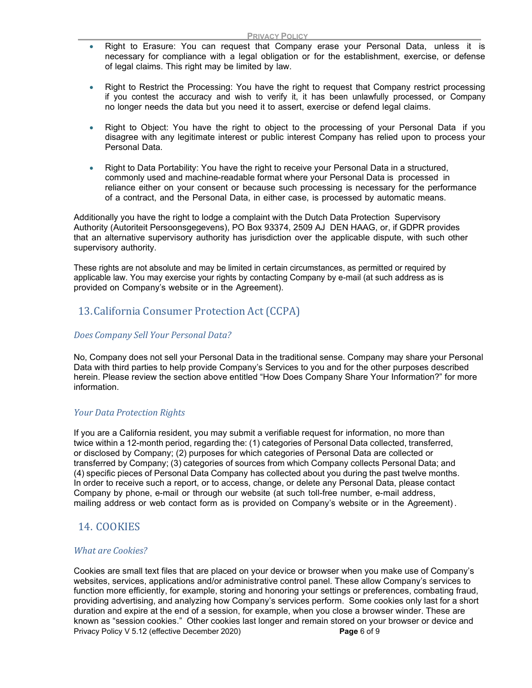- Right to Erasure: You can request that Company erase your Personal Data, unless it is necessary for compliance with a legal obligation or for the establishment, exercise, or defense of legal claims. This right may be limited by law.
- Right to Restrict the Processing: You have the right to request that Company restrict processing if you contest the accuracy and wish to verify it, it has been unlawfully processed, or Company no longer needs the data but you need it to assert, exercise or defend legal claims.
- Right to Object: You have the right to object to the processing of your Personal Data if you disagree with any legitimate interest or public interest Company has relied upon to process your Personal Data.
- Right to Data Portability: You have the right to receive your Personal Data in a structured, commonly used and machine-readable format where your Personal Data is processed in reliance either on your consent or because such processing is necessary for the performance of a contract, and the Personal Data, in either case, is processed by automatic means.

Additionally you have the right to lodge a complaint with the Dutch Data Protection Supervisory Authority (Autoriteit Persoonsgegevens), PO Box 93374, 2509 AJ DEN HAAG, or, if GDPR provides that an alternative supervisory authority has jurisdiction over the applicable dispute, with such other supervisory authority.

These rights are not absolute and may be limited in certain circumstances, as permitted or required by applicable law. You may exercise your rights by contacting Company by e-mail (at such address as is provided on Company's website or in the Agreement).

# 13.California Consumer Protection Act (CCPA)

### Does Company Sell Your Personal Data?

No, Company does not sell your Personal Data in the traditional sense. Company may share your Personal Data with third parties to help provide Company's Services to you and for the other purposes described herein. Please review the section above entitled "How Does Company Share Your Information?" for more information.

#### Your Data Protection Rights

If you are a California resident, you may submit a verifiable request for information, no more than twice within a 12-month period, regarding the: (1) categories of Personal Data collected, transferred, or disclosed by Company; (2) purposes for which categories of Personal Data are collected or transferred by Company; (3) categories of sources from which Company collects Personal Data; and (4) specific pieces of Personal Data Company has collected about you during the past twelve months. In order to receive such a report, or to access, change, or delete any Personal Data, please contact Company by phone, e-mail or through our website (at such toll-free number, e-mail address, mailing address or web contact form as is provided on Company's website or in the Agreement) .

### 14. COOKIES

#### What are Cookies?

Privacy Policy V 5.12 (effective December 2020) Privacy Page 6 of 9 Cookies are small text files that are placed on your device or browser when you make use of Company's websites, services, applications and/or administrative control panel. These allow Company's services to function more efficiently, for example, storing and honoring your settings or preferences, combating fraud, providing advertising, and analyzing how Company's services perform. Some cookies only last for a short duration and expire at the end of a session, for example, when you close a browser winder. These are known as "session cookies." Other cookies last longer and remain stored on your browser or device and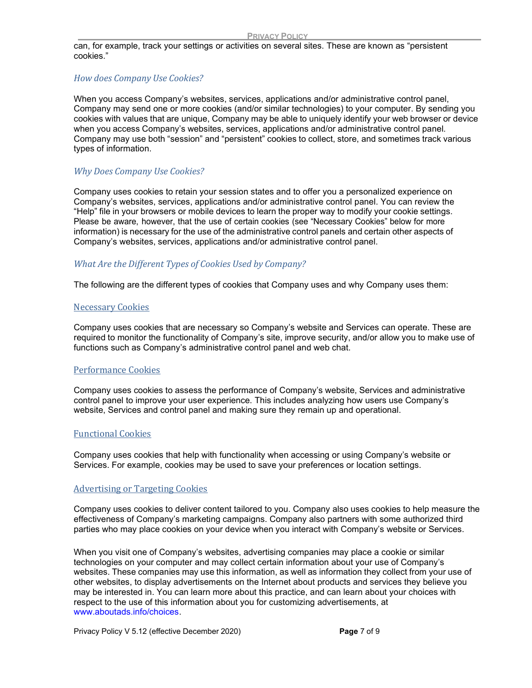can, for example, track your settings or activities on several sites. These are known as "persistent cookies."

### How does Company Use Cookies?

When you access Company's websites, services, applications and/or administrative control panel, Company may send one or more cookies (and/or similar technologies) to your computer. By sending you cookies with values that are unique, Company may be able to uniquely identify your web browser or device when you access Company's websites, services, applications and/or administrative control panel. Company may use both "session" and "persistent" cookies to collect, store, and sometimes track various types of information.

### Why Does Company Use Cookies?

Company uses cookies to retain your session states and to offer you a personalized experience on Company's websites, services, applications and/or administrative control panel. You can review the "Help" file in your browsers or mobile devices to learn the proper way to modify your cookie settings. Please be aware, however, that the use of certain cookies (see "Necessary Cookies" below for more information) is necessary for the use of the administrative control panels and certain other aspects of Company's websites, services, applications and/or administrative control panel.

### What Are the Different Types of Cookies Used by Company?

The following are the different types of cookies that Company uses and why Company uses them:

### Necessary Cookies

Company uses cookies that are necessary so Company's website and Services can operate. These are required to monitor the functionality of Company's site, improve security, and/or allow you to make use of functions such as Company's administrative control panel and web chat.

### Performance Cookies

Company uses cookies to assess the performance of Company's website, Services and administrative control panel to improve your user experience. This includes analyzing how users use Company's website, Services and control panel and making sure they remain up and operational.

### Functional Cookies

Company uses cookies that help with functionality when accessing or using Company's website or Services. For example, cookies may be used to save your preferences or location settings.

### Advertising or Targeting Cookies

Company uses cookies to deliver content tailored to you. Company also uses cookies to help measure the effectiveness of Company's marketing campaigns. Company also partners with some authorized third parties who may place cookies on your device when you interact with Company's website or Services.

When you visit one of Company's websites, advertising companies may place a cookie or similar technologies on your computer and may collect certain information about your use of Company's websites. These companies may use this information, as well as information they collect from your use of other websites, to display advertisements on the Internet about products and services they believe you may be interested in. You can learn more about this practice, and can learn about your choices with respect to the use of this information about you for customizing advertisements, at www.aboutads.info/choices.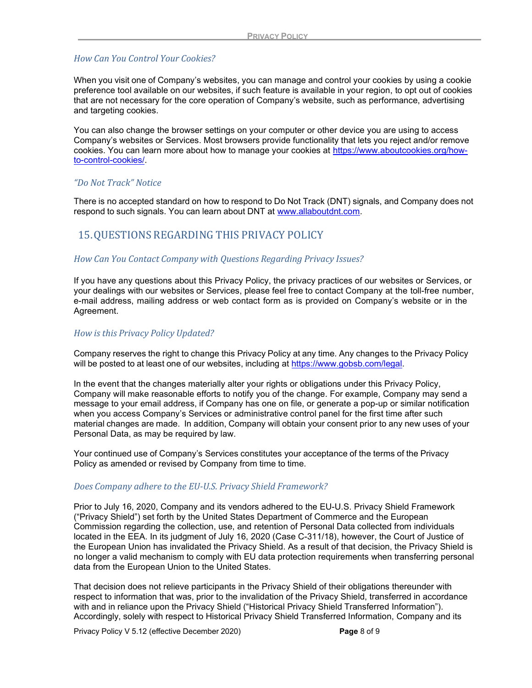#### How Can You Control Your Cookies?

When you visit one of Company's websites, you can manage and control your cookies by using a cookie preference tool available on our websites, if such feature is available in your region, to opt out of cookies that are not necessary for the core operation of Company's website, such as performance, advertising and targeting cookies.

You can also change the browser settings on your computer or other device you are using to access Company's websites or Services. Most browsers provide functionality that lets you reject and/or remove cookies. You can learn more about how to manage your cookies at https://www.aboutcookies.org/howto-control-cookies/.

### "Do Not Track" Notice

There is no accepted standard on how to respond to Do Not Track (DNT) signals, and Company does not respond to such signals. You can learn about DNT at www.allaboutdnt.com.

# 15.QUESTIONS REGARDING THIS PRIVACY POLICY

#### How Can You Contact Company with Questions Regarding Privacy Issues?

If you have any questions about this Privacy Policy, the privacy practices of our websites or Services, or your dealings with our websites or Services, please feel free to contact Company at the toll-free number, e-mail address, mailing address or web contact form as is provided on Company's website or in the Agreement.

### How is this Privacy Policy Updated?

Company reserves the right to change this Privacy Policy at any time. Any changes to the Privacy Policy will be posted to at least one of our websites, including at https://www.gobsb.com/legal.

In the event that the changes materially alter your rights or obligations under this Privacy Policy, Company will make reasonable efforts to notify you of the change. For example, Company may send a message to your email address, if Company has one on file, or generate a pop-up or similar notification when you access Company's Services or administrative control panel for the first time after such material changes are made. In addition, Company will obtain your consent prior to any new uses of your Personal Data, as may be required by law.

Your continued use of Company's Services constitutes your acceptance of the terms of the Privacy Policy as amended or revised by Company from time to time.

#### Does Company adhere to the EU-U.S. Privacy Shield Framework?

Prior to July 16, 2020, Company and its vendors adhered to the EU-U.S. Privacy Shield Framework ("Privacy Shield") set forth by the United States Department of Commerce and the European Commission regarding the collection, use, and retention of Personal Data collected from individuals located in the EEA. In its judgment of July 16, 2020 (Case C-311/18), however, the Court of Justice of the European Union has invalidated the Privacy Shield. As a result of that decision, the Privacy Shield is no longer a valid mechanism to comply with EU data protection requirements when transferring personal data from the European Union to the United States.

That decision does not relieve participants in the Privacy Shield of their obligations thereunder with respect to information that was, prior to the invalidation of the Privacy Shield, transferred in accordance with and in reliance upon the Privacy Shield ("Historical Privacy Shield Transferred Information"). Accordingly, solely with respect to Historical Privacy Shield Transferred Information, Company and its

Privacy Policy V 5.12 (effective December 2020) Privacy Page 8 of 9